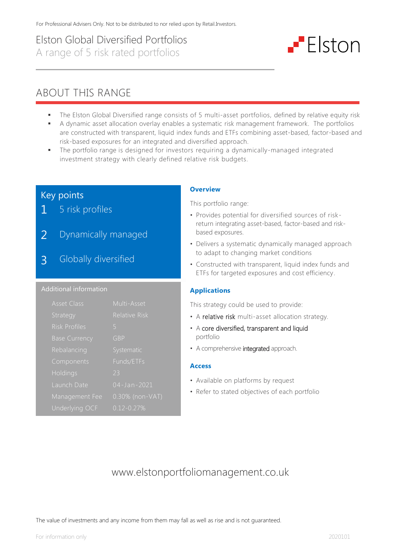# Elston Global Diversified Portfolios A range of 5 risk rated portfolios

# $-$  Elston

# ABOUT THIS RANGE

- The Elston Global Diversified range consists of 5 multi-asset portfolios, defined by relative equity risk
- A dynamic asset allocation overlay enables a systematic risk management framework. The portfolios are constructed with transparent, liquid index funds and ETFs combining asset-based, factor-based and risk-based exposures for an integrated and diversified approach.
- The portfolio range is designed for investors requiring a dynamically-managed integrated investment strategy with clearly defined relative risk budgets.

# Key points

- 1 5 risk profiles
- 2 Dynamically managed
- 3 Globally diversified

#### Additional information

| <b>Asset Class</b>   | Multi-Asset          |
|----------------------|----------------------|
| Strategy             | <b>Relative Risk</b> |
| <b>Risk Profiles</b> | 5                    |
| <b>Base Currency</b> | GBP                  |
| Rebalancing          | Systematic           |
| Components           | Funds/ETFs           |
| Holdings             | 23                   |
| Launch Date          | 04-Jan-2021          |
| Management Fee       | 0.30% (non-VAT)      |
| Underlying OCF       | $0.12 - 0.27%$       |

## **Overview**

This portfolio range:

- Provides potential for diversified sources of riskreturn integrating asset-based, factor-based and riskbased exposures.
- Delivers a systematic dynamically managed approach to adapt to changing market conditions
- Constructed with transparent, liquid index funds and ETFs for targeted exposures and cost efficiency.

## **Applications**

This strategy could be used to provide:

- A relative risk multi-asset allocation strategy.
- A core diversified, transparent and liquid portfolio
- A comprehensive integrated approach.

#### **Access**

- Available on platforms by request
- Refer to stated objectives of each portfolio

# www.elstonportfoliomanagement.co.uk

The value of investments and any income from them may fall as well as rise and is not guaranteed.